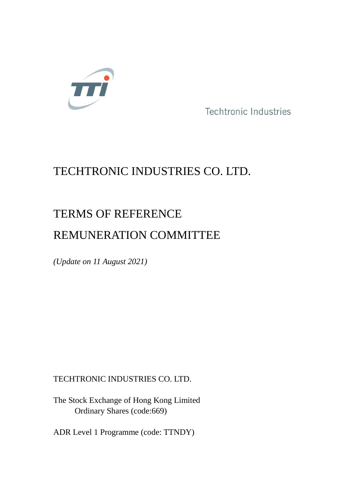

Techtronic Industries

# TECHTRONIC INDUSTRIES CO. LTD.

# TERMS OF REFERENCE

## REMUNERATION COMMITTEE

*(Update on 11 August 2021)*

## TECHTRONIC INDUSTRIES CO. LTD.

The Stock Exchange of Hong Kong Limited Ordinary Shares (code:669)

ADR Level 1 Programme (code: TTNDY)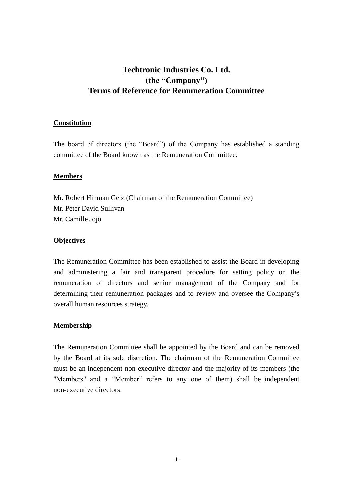### **Techtronic Industries Co. Ltd. (the "Company") Terms of Reference for Remuneration Committee**

#### **Constitution**

The board of directors (the "Board") of the Company has established a standing committee of the Board known as the Remuneration Committee.

#### **Members**

Mr. Robert Hinman Getz (Chairman of the Remuneration Committee) Mr. Peter David Sullivan Mr. Camille Jojo

#### **Objectives**

The Remuneration Committee has been established to assist the Board in developing and administering a fair and transparent procedure for setting policy on the remuneration of directors and senior management of the Company and for determining their remuneration packages and to review and oversee the Company's overall human resources strategy.

#### **Membership**

The Remuneration Committee shall be appointed by the Board and can be removed by the Board at its sole discretion. The chairman of the Remuneration Committee must be an independent non-executive director and the majority of its members (the "Members" and a "Member" refers to any one of them) shall be independent non-executive directors.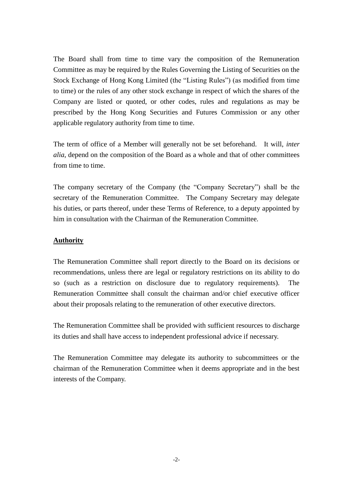The Board shall from time to time vary the composition of the Remuneration Committee as may be required by the Rules Governing the Listing of Securities on the Stock Exchange of Hong Kong Limited (the "Listing Rules") (as modified from time to time) or the rules of any other stock exchange in respect of which the shares of the Company are listed or quoted, or other codes, rules and regulations as may be prescribed by the Hong Kong Securities and Futures Commission or any other applicable regulatory authority from time to time.

The term of office of a Member will generally not be set beforehand. It will, *inter alia*, depend on the composition of the Board as a whole and that of other committees from time to time.

The company secretary of the Company (the "Company Secretary") shall be the secretary of the Remuneration Committee. The Company Secretary may delegate his duties, or parts thereof, under these Terms of Reference, to a deputy appointed by him in consultation with the Chairman of the Remuneration Committee.

#### **Authority**

The Remuneration Committee shall report directly to the Board on its decisions or recommendations, unless there are legal or regulatory restrictions on its ability to do so (such as a restriction on disclosure due to regulatory requirements). The Remuneration Committee shall consult the chairman and/or chief executive officer about their proposals relating to the remuneration of other executive directors.

The Remuneration Committee shall be provided with sufficient resources to discharge its duties and shall have access to independent professional advice if necessary.

The Remuneration Committee may delegate its authority to subcommittees or the chairman of the Remuneration Committee when it deems appropriate and in the best interests of the Company.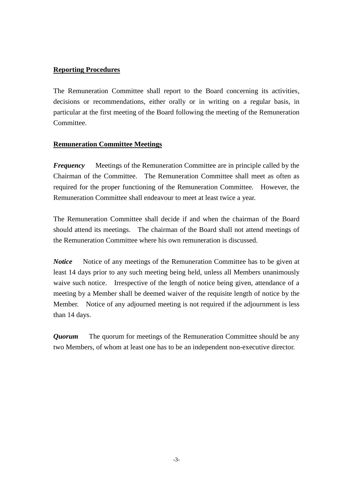#### **Reporting Procedures**

The Remuneration Committee shall report to the Board concerning its activities, decisions or recommendations, either orally or in writing on a regular basis, in particular at the first meeting of the Board following the meeting of the Remuneration Committee.

#### **Remuneration Committee Meetings**

*Frequency* Meetings of the Remuneration Committee are in principle called by the Chairman of the Committee. The Remuneration Committee shall meet as often as required for the proper functioning of the Remuneration Committee. However, the Remuneration Committee shall endeavour to meet at least twice a year.

The Remuneration Committee shall decide if and when the chairman of the Board should attend its meetings. The chairman of the Board shall not attend meetings of the Remuneration Committee where his own remuneration is discussed.

*Notice* • Notice of any meetings of the Remuneration Committee has to be given at least 14 days prior to any such meeting being held, unless all Members unanimously waive such notice. Irrespective of the length of notice being given, attendance of a meeting by a Member shall be deemed waiver of the requisite length of notice by the Member. Notice of any adjourned meeting is not required if the adjournment is less than 14 days.

*Quorum* The quorum for meetings of the Remuneration Committee should be any two Members, of whom at least one has to be an independent non-executive director.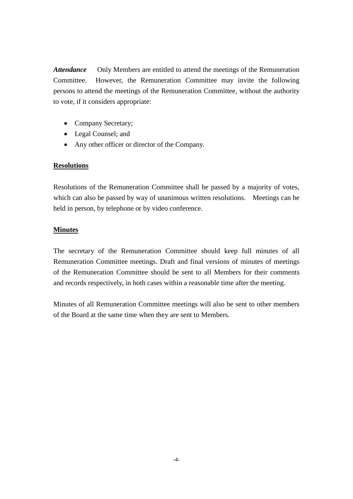*Attendance* Only Members are entitled to attend the meetings of the Remuneration Committee. However, the Remuneration Committee may invite the following persons to attend the meetings of the Remuneration Committee, without the authority to vote, if it considers appropriate:

- Company Secretary;
- Legal Counsel; and
- Any other officer or director of the Company.

#### **Resolutions**

Resolutions of the Remuneration Committee shall be passed by a majority of votes, which can also be passed by way of unanimous written resolutions. Meetings can be held in person, by telephone or by video conference.

#### **Minutes**

The secretary of the Remuneration Committee should keep full minutes of all Remuneration Committee meetings. Draft and final versions of minutes of meetings of the Remuneration Committee should be sent to all Members for their comments and records respectively, in both cases within a reasonable time after the meeting.

Minutes of all Remuneration Committee meetings will also be sent to other members of the Board at the same time when they are sent to Members.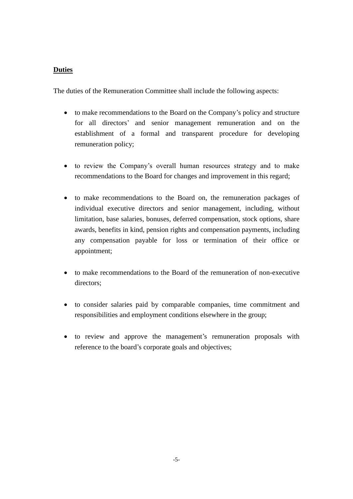#### **Duties**

The duties of the Remuneration Committee shall include the following aspects:

- to make recommendations to the Board on the Company's policy and structure for all directors' and senior management remuneration and on the establishment of a formal and transparent procedure for developing remuneration policy;
- to review the Company's overall human resources strategy and to make recommendations to the Board for changes and improvement in this regard;
- to make recommendations to the Board on, the remuneration packages of individual executive directors and senior management, including, without limitation, base salaries, bonuses, deferred compensation, stock options, share awards, benefits in kind, pension rights and compensation payments, including any compensation payable for loss or termination of their office or appointment;
- to make recommendations to the Board of the remuneration of non-executive directors;
- to consider salaries paid by comparable companies, time commitment and responsibilities and employment conditions elsewhere in the group;
- to review and approve the management's remuneration proposals with reference to the board's corporate goals and objectives;